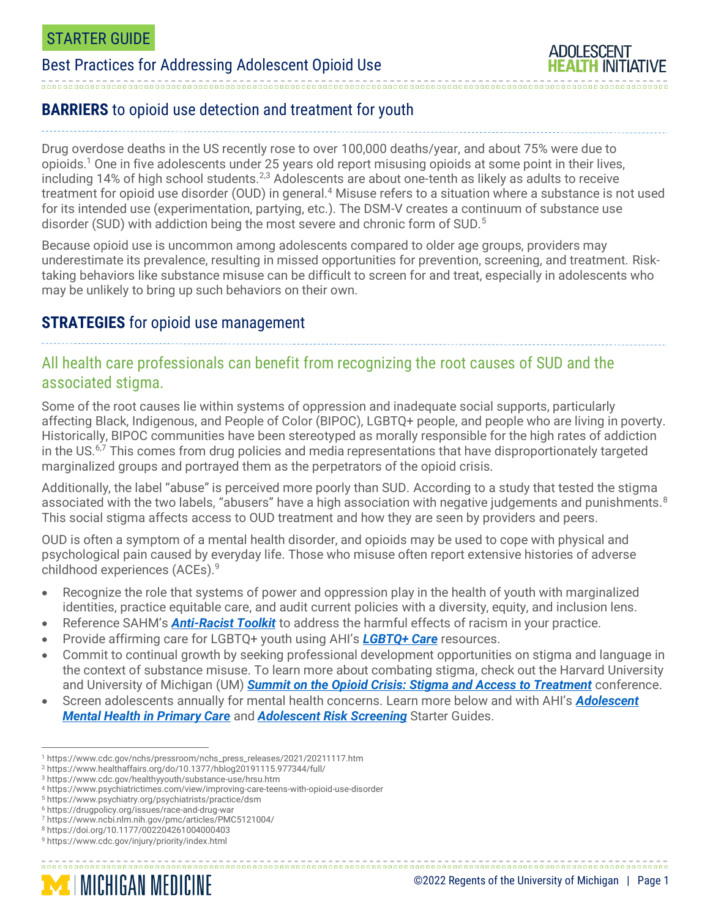# Best Practices for Addressing Adolescent Opioid Use



## **BARRIERS** to opioid use detection and treatment for youth

Drug overdose deaths in the US recently rose to over 100,000 deaths/year, and about 75% were due to opioids.<sup>1</sup> One in five adolescents under 25 years old report misusing opioids at some point in their lives, including 14% of high school students.<sup>2,3</sup> Adolescents are about one-tenth as likely as adults to receive treatment for opioid use disorder (OUD) in general.<sup>4</sup> Misuse refers to a situation where a substance is not used for its intended use (experimentation, partying, etc.). The DSM-V creates a continuum of substance use disorder (SUD) with addiction being the most severe and chronic form of SUD.<sup>5</sup>

Because opioid use is uncommon among adolescents compared to older age groups, providers may underestimate its prevalence, resulting in missed opportunities for prevention, screening, and treatment. Risktaking behaviors like substance misuse can be difficult to screen for and treat, especially in adolescents who may be unlikely to bring up such behaviors on their own.

#### **STRATEGIES** for opioid use management

#### All health care professionals can benefit from recognizing the root causes of SUD and the associated stigma.

Some of the root causes lie within systems of oppression and inadequate social supports, particularly affecting Black, Indigenous, and People of Color (BIPOC), LGBTQ+ people, and people who are living in poverty. Historically, BIPOC communities have been stereotyped as morally responsible for the high rates of addiction in the US.<sup>6,7</sup> This comes from drug policies and media representations that have disproportionately targeted marginalized groups and portrayed them as the perpetrators of the opioid crisis.

Additionally, the label "abuse" is perceived more poorly than SUD. According to a study that tested the stigma associated with the two labels, "abusers" have a high association with negative judgements and punishments.<sup>8</sup> This social stigma affects access to OUD treatment and how they are seen by providers and peers.

OUD is often a symptom of a mental health disorder, and opioids may be used to cope with physical and psychological pain caused by everyday life. Those who misuse often report extensive histories of adverse childhood experiences (ACEs).<sup>9</sup>

- Recognize the role that systems of power and oppression play in the health of youth with marginalized identities, practice equitable care, and audit current policies with a diversity, equity, and inclusion lens.
- Reference SAHM's *[Anti-Racist Toolkit](https://www.adolescenthealth.org/Resources/Anti-Racism-Toolkit.aspx)* to address the harmful effects of racism in your practice.
- Provide affirming care for LGBTQ+ youth using AHI's *[LGBTQ+ Care](https://umhs-adolescenthealth.org/improving-care/lgbtq-care/)* resources.
- Commit to continual growth by seeking professional development opportunities on stigma and language in the context of substance misuse. To learn more about combating stigma, check out the Harvard University and University of Michigan (UM) *[Summit on the Opioid Crisis: Stigma and Access to Treatment](https://fxb.harvard.edu/opioidsummit/video/)* conference.

• Screen adolescents annually for mental health concerns. Learn more below and with AHI's *[Adolescent](https://umhs-adolescenthealth.org/wp-content/uploads/2021/09/youth-mental-health-starter-guide_final.pdf)  [Mental Health in Primary Care](https://umhs-adolescenthealth.org/wp-content/uploads/2021/09/youth-mental-health-starter-guide_final.pdf)* and *[Adolescent Risk Screening](https://umhs-adolescenthealth.org/wp-content/uploads/2020/08/adolescent-risk-screening-starter-guide.pdf)* Starter Guides.

<sup>1</sup> https://www.cdc.gov/nchs/pressroom/nchs\_press\_releases/2021/20211117.htm

<sup>2</sup> https://www.healthaffairs.org/do/10.1377/hblog20191115.977344/full/

<sup>3</sup> https://www.cdc.gov/healthyyouth/substance-use/hrsu.htm

<sup>4</sup> https://www.psychiatrictimes.com/view/improving-care-teens-with-opioid-use-disorder

<sup>5</sup> https://www.psychiatry.org/psychiatrists/practice/dsm

<sup>6</sup> https://drugpolicy.org/issues/race-and-drug-war

<sup>7</sup> https://www.ncbi.nlm.nih.gov/pmc/articles/PMC5121004/

<sup>8</sup> https://doi.org/10.1177/002204261004000403

<sup>9</sup> https://www.cdc.gov/injury/priority/index.html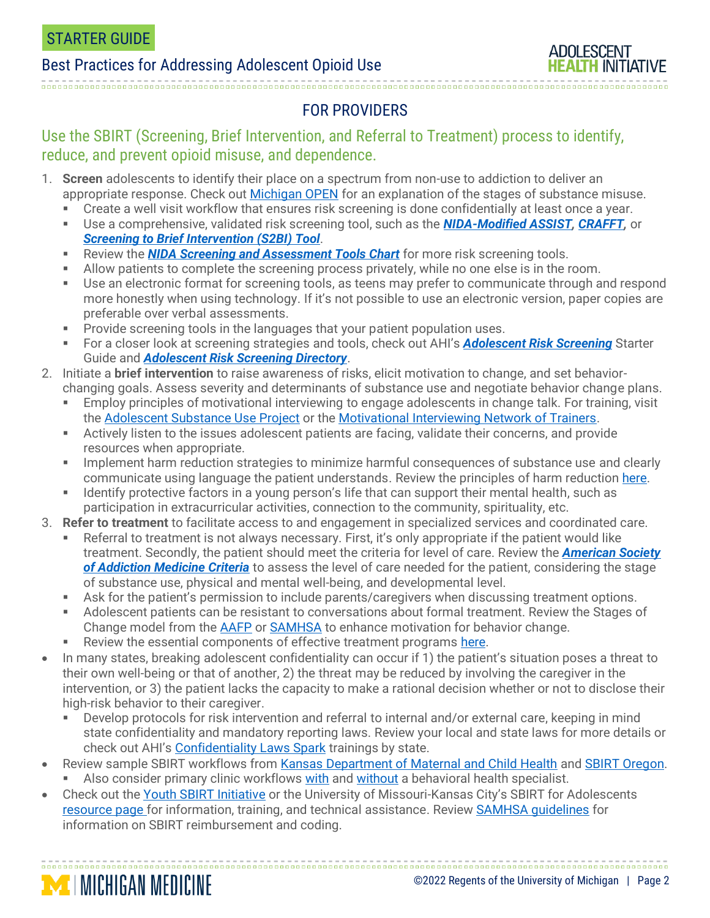**MICHIGAN MEDICINE** 



# FOR PROVIDERS

#### Use the SBIRT (Screening, Brief Intervention, and Referral to Treatment) process to identify, reduce, and prevent opioid misuse, and dependence.

- 1. **Screen** adolescents to identify their place on a spectrum from non-use to addiction to deliver an appropriate response. Check out [Michigan OPEN](https://michigan-open.org/peds/what-should-i-know-after-my-childs-surgery/opioids/) for an explanation of the stages of substance misuse.
	- **•** Create a well visit workflow that ensures risk screening is done confidentially at least once a year.
	- Use a comprehensive, validated risk screening tool, such as the *[NIDA-Modified ASSIST,](https://www.drugabuse.gov/sites/default/files/pdf/nmassist.pdf) [CRAFFT,](https://crafft.org/)* or *[Screening to Brief Intervention \(S2BI\) Tool](https://www.drugabuse.gov/ast/s2bi/#/)*.
	- **EXECTED FIGUREY FIGUREY 12 Review the** *[NIDA Screening and Assessment Tools Chart](https://www.drugabuse.gov/nidamed-medical-health-professionals/screening-tools-resources/chart-screening-tools)* **for more risk screening tools.**
	- Allow patients to complete the screening process privately, while no one else is in the room.
	- **•** Use an electronic format for screening tools, as teens may prefer to communicate through and respond more honestly when using technology. If it's not possible to use an electronic version, paper copies are preferable over verbal assessments.
	- **Provide screening tools in the languages that your patient population uses.**
	- For a closer look at screening strategies and tools, check out AHI's *[Adolescent Risk Screening](https://umhs-adolescenthealth.org/wp-content/uploads/2020/08/adolescent-risk-screening-starter-guide.pdf)* Starter Guide and *[Adolescent Risk Screening Directory](https://docs.google.com/document/d/16qQKfh1rew04IU7gBcFDBDmewfIsbWuntaPAzVWX-Fg/edit?usp=sharing)*.
- 2. Initiate a **brief intervention** to raise awareness of risks, elicit motivation to change, and set behaviorchanging goals. Assess severity and determinants of substance use and negotiate behavior change plans.
	- Employ principles of motivational interviewing to engage adolescents in change talk. For training, visit the [Adolescent Substance Use Project](https://www.adolescentsubstanceuse.org/mi/) or the [Motivational Interviewing Network of Trainers.](https://motivationalinterviewing.org/self-paced-online-mi-adolescents-available-ongoing-basis)
	- Actively listen to the issues adolescent patients are facing, validate their concerns, and provide resources when appropriate.
	- Implement harm reduction strategies to minimize harmful consequences of substance use and clearly communicate using language the patient understands. Review the principles of harm reduction [here.](https://harmreduction.org/about-us/principles-of-harm-reduction/)
	- Identify protective factors in a young person's life that can support their mental health, such as participation in extracurricular activities, connection to the community, spirituality, etc.
- 3. **Refer to treatment** to facilitate access to and engagement in specialized services and coordinated care.
	- Referral to treatment is not always necessary. First, it's only appropriate if the patient would like treatment. Secondly, the patient should meet the criteria for level of care. Review the *[American Society](https://www.asam.org/asam-criteria/about-the-asam-criteria)  [of Addiction Medicine Criteria](https://www.asam.org/asam-criteria/about-the-asam-criteria)* to assess the level of care needed for the patient, considering the stage of substance use, physical and mental well-being, and developmental level.
	- **EXECT:** Ask for the patient's permission to include parents/caregivers when discussing treatment options.
	- Adolescent patients can be resistant to conversations about formal treatment. Review the Stages of Change model from the [AAFP](https://www.aafp.org/afp/2000/0301/p1409.html) or [SAMHSA](https://store.samhsa.gov/sites/default/files/d7/priv/tip35_final_508_compliant_-_02252020_0.pdf) to enhance motivation for behavior change.
	- Review the essential components of effective treatment programs [here.](https://youth.gov/youth-topics/substance-abuse/critical-elements-substance-abuse-prevention-efforts)
- In many states, breaking adolescent confidentiality can occur if 1) the patient's situation poses a threat to their own well-being or that of another, 2) the threat may be reduced by involving the caregiver in the intervention, or 3) the patient lacks the capacity to make a rational decision whether or not to disclose their high-risk behavior to their caregiver.
	- Develop protocols for risk intervention and referral to internal and/or external care, keeping in mind state confidentiality and mandatory reporting laws. Review your local and state laws for more details or check out AHI's [Confidentiality Laws Spark](https://umhs-adolescenthealth.org/improving-care/spark-trainings/confidentiality-laws/) trainings by state.

- Review sample SBIRT workflows from [Kansas Department of Maternal and Child Health](https://www.kdhe.ks.gov/c-f/integration_toolkits/SBIRT/06_Workflows_Algorithms/02_sbirt_workflow.pdf) and [SBIRT Oregon.](https://www.sbirtoregon.org/sbirt-workflow/) Also consider primary clinic workflows [with](https://www.youtube.com/watch?v=ogZX6YiHJzg) and [without](https://www.youtube.com/watch?v=KlaCo3zw1PM) a behavioral health specialist.
- Check out the [Youth SBIRT Initiative](https://www.ysbirt.org/) or the University of Missouri-Kansas City's SBIRT for Adolescents [resource page](https://www.sbirt.care/resources.aspx) for information, training, and technical assistance. Review **SAMHSA guidelines** for information on SBIRT reimbursement and coding.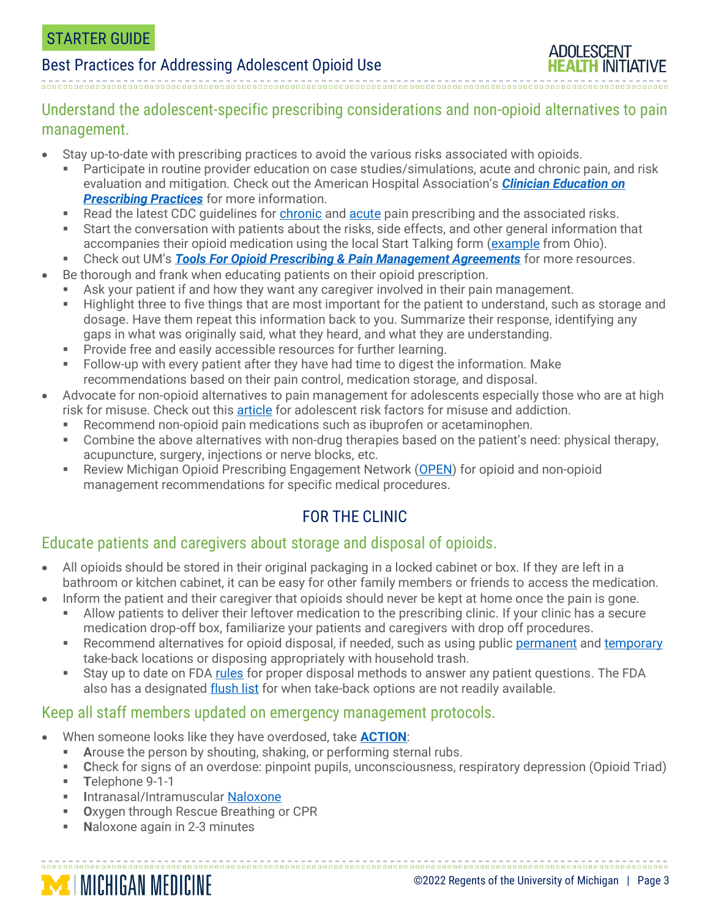## Best Practices for Addressing Adolescent Opioid Use

Understand the adolescent-specific prescribing considerations and non-opioid alternatives to pain management.

- Stay up-to-date with prescribing practices to avoid the various risks associated with opioids.
	- Participate in routine provider education on case studies/simulations, acute and chronic pain, and risk evaluation and mitigation. Check out the American Hospital Association's *[Clinician Education on](https://www.aha.org/bibliographylink-page/2018-09-28-clinician-education-prescribing-practices)  [Prescribing Practices](https://www.aha.org/bibliographylink-page/2018-09-28-clinician-education-prescribing-practices)* for more information.
	- Read the latest CDC guidelines for [chronic](https://www.cdc.gov/drugoverdose/pdf/Guidelines_At-A-Glance-508.pdf) and [acute](https://www.cdc.gov/opioids/patients/pdf/Acute-Pain-What-You-Need-to-Know.pdf) pain prescribing and the associated risks.
	- Start the conversation with patients about the risks, side effects, and other general information that accompanies their opioid medication using the local Start Talking form [\(example](https://www.copcp.com/Documents/DownloadFile/112) from Ohio).
	- **EXECT Check out UM's** *[Tools For Opioid Prescribing & Pain Management Agreements](https://injurycenter.umich.edu/opioid-overdose/michigan-safer-opioid-prescribing-toolkit/just-in-time-tools/tools-for-opioid-prescribing-pain-management-agreements/)* **for more resources.**
- Be thorough and frank when educating patients on their opioid prescription.
	- **EXE** Ask your patient if and how they want any caregiver involved in their pain management.
	- Highlight three to five things that are most important for the patient to understand, such as storage and dosage. Have them repeat this information back to you. Summarize their response, identifying any gaps in what was originally said, what they heard, and what they are understanding.
	- Provide free and easily accessible resources for further learning.
	- Follow-up with every patient after they have had time to digest the information. Make recommendations based on their pain control, medication storage, and disposal.
- Advocate for non-opioid alternatives to pain management for adolescents especially those who are at high risk for misuse. Check out this [article](https://www.ncbi.nlm.nih.gov/pmc/articles/PMC6830740/) for adolescent risk factors for misuse and addiction.
	- **EXECOMMENT ADIMENT IS A THE INCORDER IN A THE COMMON PROPERTION IS A THE COMMON CONTENT** PROPERTIONS RECOMMENT **RECOMMENT PROPERTION**
	- Combine the above alternatives with non-drug therapies based on the patient's need: physical therapy, acupuncture, surgery, injections or nerve blocks, etc.
	- Review Michigan Opioid Prescribing Engagement Network [\(OPEN\)](https://michigan-open.org/prescribing-recommendations/) for opioid and non-opioid management recommendations for specific medical procedures.

## FOR THE CLINIC

#### Educate patients and caregivers about storage and disposal of opioids.

- All opioids should be stored in their original packaging in a locked cabinet or box. If they are left in a bathroom or kitchen cabinet, it can be easy for other family members or friends to access the medication.
- Inform the patient and their caregiver that opioids should never be kept at home once the pain is gone. ■ Allow patients to deliver their leftover medication to the prescribing clinic. If your clinic has a secure
	- medication drop-off box, familiarize your patients and caregivers with drop off procedures.
	- Recommend alternatives for opioid disposal, if needed, such as using publi[c permanent](https://recovertogether.withgoogle.com/prevention/) and [temporary](https://www.deadiversion.usdoj.gov/drug_disposal/takeback/) take-back locations or disposing appropriately with household trash.
	- Stay up to date on FDA [rules](https://www.fda.gov/consumers/consumer-updates/where-and-how-dispose-unused-medicines) for proper disposal methods to answer any patient questions. The FDA also has a designated [flush list](https://www.fda.gov/drugs/disposal-unused-medicines-what-you-should-know/drug-disposal-fdas-flush-list-certain-medicines#FlushList) for when take-back options are not readily available.

#### Keep all staff members updated on emergency management protocols.

- When someone looks like they have overdosed, take **[ACTION](https://msqc.org/wp-content/uploads/2019/11/Gina-Dahlem-Take-ACTION-Opioid-Jefferson.pdf)**:
	- **EXP** Arouse the person by shouting, shaking, or performing sternal rubs.
	- **C**heck for signs of an overdose: pinpoint pupils, unconsciousness, respiratory depression (Opioid Triad)

▪ **T**elephone 9-1-1

**MICHIGAN MEDICINE** 

- **I**ntranasal/Intramuscular [Naloxone](https://d14rmgtrwzf5a.cloudfront.net/sites/default/files/opioid_naloxone.pdf)
- **O**xygen through Rescue Breathing or CPR
- Naloxone again in 2-3 minutes